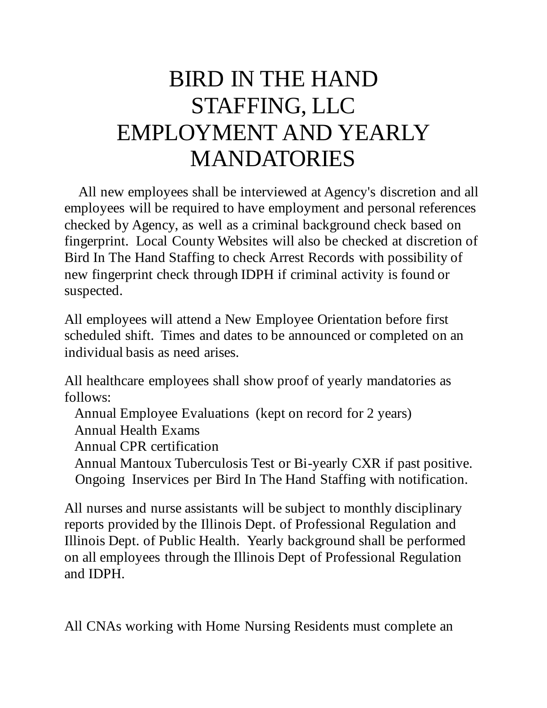## BIRD IN THE HAND STAFFING, LLC EMPLOYMENT AND YEARLY MANDATORIES

 All new employees shall be interviewed at Agency's discretion and all employees will be required to have employment and personal references checked by Agency, as well as a criminal background check based on fingerprint. Local County Websites will also be checked at discretion of Bird In The Hand Staffing to check Arrest Records with possibility of new fingerprint check through IDPH if criminal activity is found or suspected.

All employees will attend a New Employee Orientation before first scheduled shift. Times and dates to be announced or completed on an individual basis as need arises.

All healthcare employees shall show proof of yearly mandatories as follows:

Annual Employee Evaluations (kept on record for 2 years)

Annual Health Exams

Annual CPR certification

 Annual Mantoux Tuberculosis Test or Bi-yearly CXR if past positive. Ongoing Inservices per Bird In The Hand Staffing with notification.

All nurses and nurse assistants will be subject to monthly disciplinary reports provided by the Illinois Dept. of Professional Regulation and Illinois Dept. of Public Health. Yearly background shall be performed on all employees through the Illinois Dept of Professional Regulation and IDPH.

All CNAs working with Home Nursing Residents must complete an